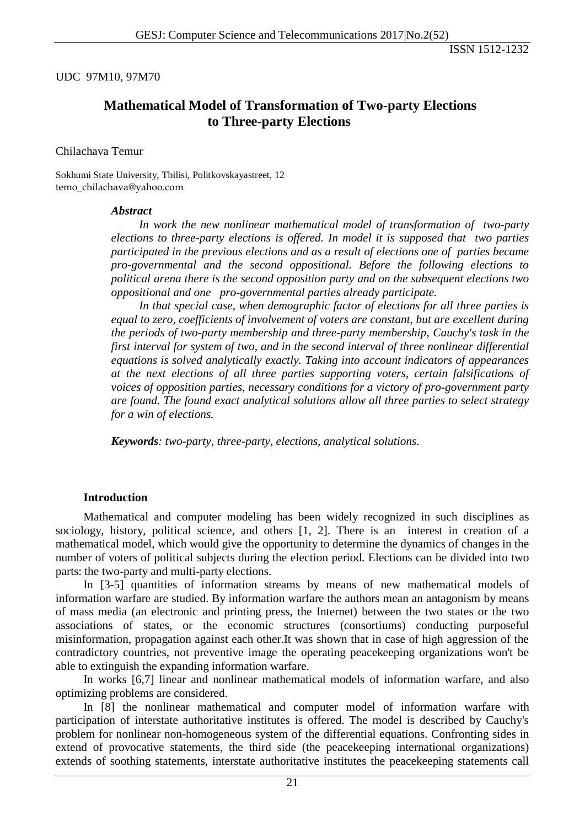## UDC 97M10, 97M70

# **Mathematical Model of Transformation of Two-party Elections to Three-party Elections**

#### Chilachava Temur

Sokhumi State University, Tbilisi, Politkovskayastreet, 12 temo\_chilachava@yahoo.com

#### *Abstract*

*In work the new nonlinear mathematical model of transformation of two-party elections to three-party elections is offered. In model it is supposed that two parties participated in the previous elections and as a result of elections one of parties became pro-governmental and the second oppositional. Before the following elections to political arena there is the second opposition party and on the subsequent elections two oppositional and one pro-governmental parties already participate.* 

*In that special case, when demographic factor of elections for all three parties is equal to zero, coefficients of involvement of voters are constant, but are excellent during the periods of two-party membership and three-party membership, Cauchy's task in the first interval for system of two, and in the second interval of three nonlinear differential equations is solved analytically exactly. Taking into account indicators of appearances at the next elections of all three parties supporting voters, certain falsifications of voices of opposition parties, necessary conditions for a victory of pro-government party are found. The found exact analytical solutions allow all three parties to select strategy for a win of elections.*

*Keywords: two-party, three-party, elections, analytical solutions*.

## **Introduction**

Mathematical and computer modeling has been widely recognized in such disciplines as sociology, history, political science, and others [1, 2]. There is an interest in creation of a mathematical model, which would give the opportunity to determine the dynamics of changes in the number of voters of political subjects during the election period. Elections can be divided into two parts: the two-party and multi-party elections.

In [3-5] quantities of information streams by means of new mathematical models of information warfare are studied. By information warfare the authors mean an antagonism by means of mass media (an electronic and printing press, the Internet) between the two states or the two associations of states, or the economic structures (consortiums) conducting purposeful misinformation, propagation against each other.It was shown that in case of high aggression of the contradictory countries, not preventive image the operating peacekeeping organizations won't be able to extinguish the expanding information warfare.

In works [6,7] linear and nonlinear mathematical models of information warfare, and also optimizing problems are considered.

In [8] the nonlinear mathematical and computer model of information warfare with participation of interstate authoritative institutes is offered. The model is described by Cauchy's problem for nonlinear non-homogeneous system of the differential equations. Confronting sides in extend of provocative statements, the third side (the peacekeeping international organizations) extends of soothing statements, interstate authoritative institutes the peacekeeping statements call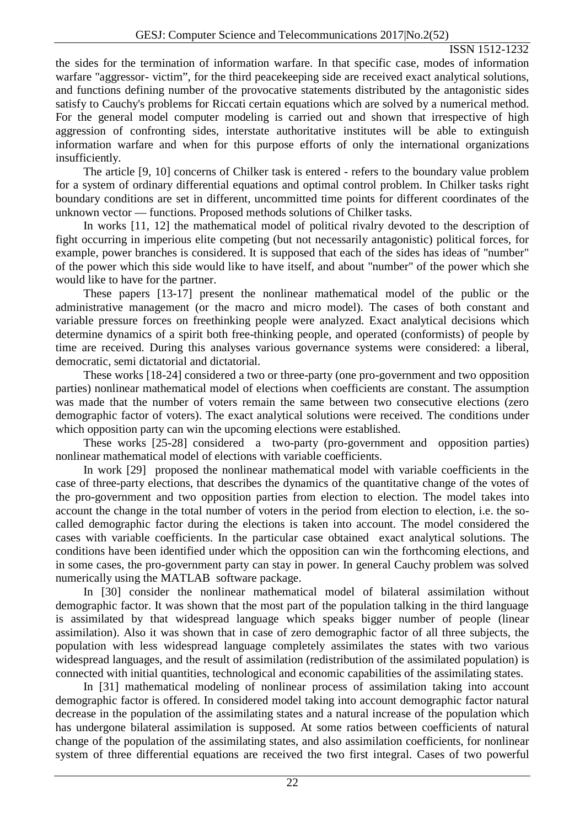the sides for the termination of information warfare. In that specific case, modes of information warfare "aggressor- victim", for the third peacekeeping side are received exact analytical solutions, and functions defining number of the provocative statements distributed by the antagonistic sides satisfy to Cauchy's problems for Riccati certain equations which are solved by a numerical method. For the general model computer modeling is carried out and shown that irrespective of high aggression of confronting sides, interstate authoritative institutes will be able to extinguish information warfare and when for this purpose efforts of only the international organizations insufficiently.

The article [9, 10] concerns of Chilker task is entered - refers to the boundary value problem for a system of ordinary differential equations and optimal control problem. In Chilker tasks right boundary conditions are set in different, uncommitted time points for different coordinates of the unknown vector — functions. Proposed methods solutions of Chilker tasks.

In works [11, 12] the mathematical model of political rivalry devoted to the description of fight occurring in imperious elite competing (but not necessarily antagonistic) political forces, for example, power branches is considered. It is supposed that each of the sides has ideas of "number" of the power which this side would like to have itself, and about "number" of the power which she would like to have for the partner.

These papers [13-17] present the nonlinear mathematical model of the public or the administrative management (or the macro and micro model). The cases of both constant and variable pressure forces on freethinking people were analyzed. Exact analytical decisions which determine dynamics of a spirit both free-thinking people, and operated (conformists) of people by time are received. During this analyses various governance systems were considered: a liberal, democratic, semi dictatorial and dictatorial.

These works [18-24] considered a two or three-party (one pro-government and two opposition parties) nonlinear mathematical model of elections when coefficients are constant. The assumption was made that the number of voters remain the same between two consecutive elections (zero demographic factor of voters). The exact analytical solutions were received. The conditions under which opposition party can win the upcoming elections were established.

These works [25-28] considered a two-party (pro-government and opposition parties) nonlinear mathematical model of elections with variable coefficients.

In work [29] proposed the nonlinear mathematical model with variable coefficients in the case of three-party elections, that describes the dynamics of the quantitative change of the votes of the pro-government and two opposition parties from election to election. The model takes into account the change in the total number of voters in the period from election to election, i.e. the socalled demographic factor during the elections is taken into account. The model considered the cases with variable coefficients. In the particular case obtained exact analytical solutions. The conditions have been identified under which the opposition can win the forthcoming elections, and in some cases, the pro-government party can stay in power. In general Cauchy problem was solved numerically using the MATLAB software package.

In [30] consider the nonlinear mathematical model of bilateral assimilation without demographic factor. It was shown that the most part of the population talking in the third language is assimilated by that widespread language which speaks bigger number of people (linear assimilation). Also it was shown that in case of zero demographic factor of all three subjects, the population with less widespread language completely assimilates the states with two various widespread languages, and the result of assimilation (redistribution of the assimilated population) is connected with initial quantities, technological and economic capabilities of the assimilating states.

In [31] mathematical modeling of nonlinear process of assimilation taking into account demographic factor is offered. In considered model taking into account demographic factor natural decrease in the population of the assimilating states and a natural increase of the population which has undergone bilateral assimilation is supposed. At some ratios between coefficients of natural change of the population of the assimilating states, and also assimilation coefficients, for nonlinear system of three differential equations are received the two first integral. Cases of two powerful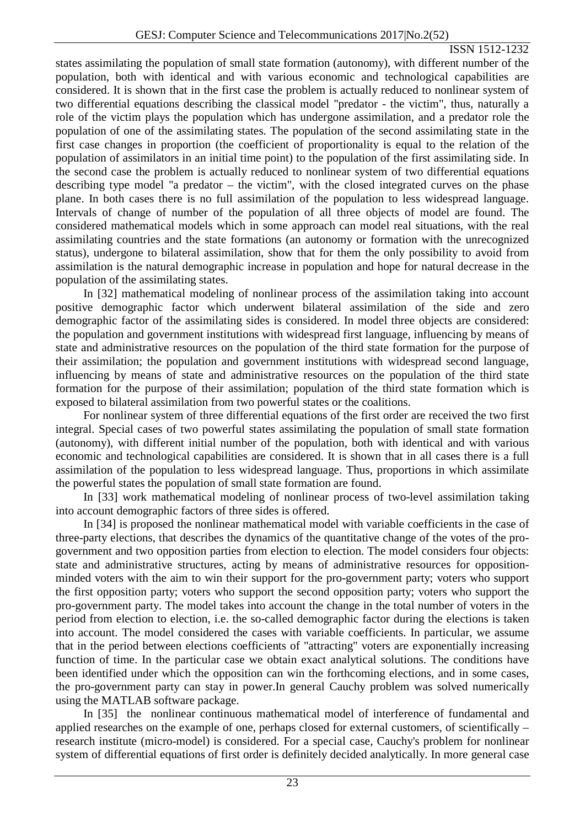states assimilating the population of small state formation (autonomy), with different number of the population, both with identical and with various economic and technological capabilities are considered. It is shown that in the first case the problem is actually reduced to nonlinear system of two differential equations describing the classical model "predator - the victim", thus, naturally a role of the victim plays the population which has undergone assimilation, and a predator role the population of one of the assimilating states. The population of the second assimilating state in the first case changes in proportion (the coefficient of proportionality is equal to the relation of the population of assimilators in an initial time point) to the population of the first assimilating side. In the second case the problem is actually reduced to nonlinear system of two differential equations describing type model "a predator – the victim", with the closed integrated curves on the phase plane. In both cases there is no full assimilation of the population to less widespread language. Intervals of change of number of the population of all three objects of model are found. The considered mathematical models which in some approach can model real situations, with the real assimilating countries and the state formations (an autonomy or formation with the unrecognized status), undergone to bilateral assimilation, show that for them the only possibility to avoid from assimilation is the natural demographic increase in population and hope for natural decrease in the population of the assimilating states.

In [32] mathematical modeling of nonlinear process of the assimilation taking into account positive demographic factor which underwent bilateral assimilation of the side and zero demographic factor of the assimilating sides is considered. In model three objects are considered: the population and government institutions with widespread first language, influencing by means of state and administrative resources on the population of the third state formation for the purpose of their assimilation; the population and government institutions with widespread second language, influencing by means of state and administrative resources on the population of the third state formation for the purpose of their assimilation; population of the third state formation which is exposed to bilateral assimilation from two powerful states or the coalitions.

For nonlinear system of three differential equations of the first order are received the two first integral. Special cases of two powerful states assimilating the population of small state formation (autonomy), with different initial number of the population, both with identical and with various economic and technological capabilities are considered. It is shown that in all cases there is a full assimilation of the population to less widespread language. Thus, proportions in which assimilate the powerful states the population of small state formation are found.

In [33] work mathematical modeling of nonlinear process of two-level assimilation taking into account demographic factors of three sides is offered.

In [34] is proposed the nonlinear mathematical model with variable coefficients in the case of three-party elections, that describes the dynamics of the quantitative change of the votes of the progovernment and two opposition parties from election to election. The model considers four objects: state and administrative structures, acting by means of administrative resources for oppositionminded voters with the aim to win their support for the pro-government party; voters who support the first opposition party; voters who support the second opposition party; voters who support the pro-government party. The model takes into account the change in the total number of voters in the period from election to election, i.e. the so-called demographic factor during the elections is taken into account. The model considered the cases with variable coefficients. In particular, we assume that in the period between elections coefficients of "attracting" voters are exponentially increasing function of time. In the particular case we obtain exact analytical solutions. The conditions have been identified under which the opposition can win the forthcoming elections, and in some cases, the pro-government party can stay in power.In general Cauchy problem was solved numerically using the MATLAB software package.

In [35] the nonlinear continuous mathematical model of interference of fundamental and applied researches on the example of one, perhaps closed for external customers, of scientifically – research institute (micro-model) is considered. For a special case, Cauchy's problem for nonlinear system of differential equations of first order is definitely decided analytically. In more general case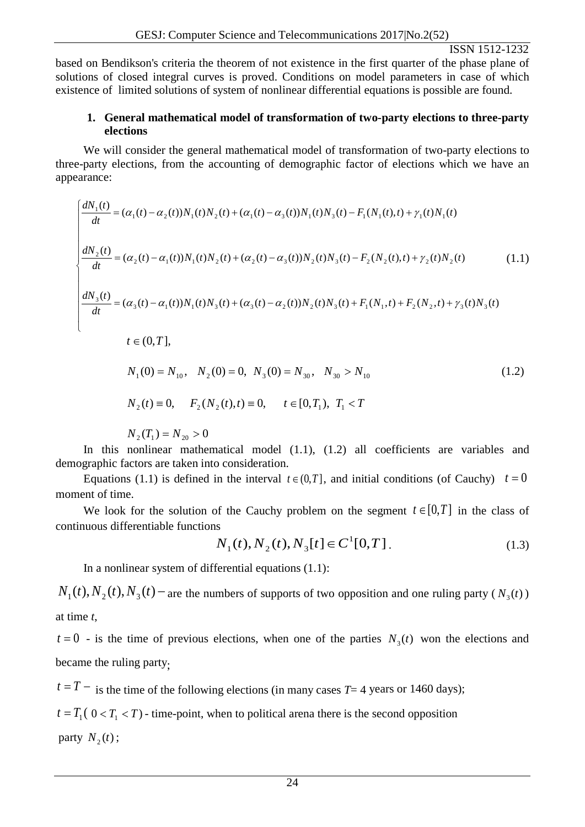based on Bendikson's criteria the theorem of not existence in the first quarter of the phase plane of solutions of closed integral curves is proved. Conditions on model parameters in case of which existence of limited solutions of system of nonlinear differential equations is possible are found.

## **1. General mathematical model of transformation of two-party elections to three-party elections**

We will consider the general mathematical model of transformation of two-party elections to three-party elections, from the accounting of demographic factor of elections which we have an appearance:

$$
\begin{cases}\n\frac{dN_1(t)}{dt} = (\alpha_1(t) - \alpha_2(t))N_1(t)N_2(t) + (\alpha_1(t) - \alpha_3(t))N_1(t)N_3(t) - F_1(N_1(t),t) + \gamma_1(t)N_1(t) \\
\frac{dN_2(t)}{dt} = (\alpha_2(t) - \alpha_1(t))N_1(t)N_2(t) + (\alpha_2(t) - \alpha_3(t))N_2(t)N_3(t) - F_2(N_2(t),t) + \gamma_2(t)N_2(t) \tag{1.1}\n\end{cases}
$$
\n
$$
\begin{cases}\n\frac{dN_3(t)}{dt} = (\alpha_3(t) - \alpha_1(t))N_1(t)N_3(t) + (\alpha_3(t) - \alpha_2(t))N_2(t)N_3(t) + F_1(N_1,t) + F_2(N_2,t) + \gamma_3(t)N_3(t) \\
t \in (0,T],\n\end{cases}
$$
\n(1.1)

$$
N_1(0) = N_{10}, N_2(0) = 0, N_3(0) = N_{30}, N_{30} > N_{10}
$$
\n(1.2)

$$
N_2(t) \equiv 0, \quad F_2(N_2(t), t) \equiv 0, \quad t \in [0, T_1), \ T_1 < T
$$

$$
N_2(T_1) = N_{20} > 0
$$

In this nonlinear mathematical model (1.1), (1.2) all coefficients are variables and demographic factors are taken into consideration.

Equations (1.1) is defined in the interval  $t \in (0,T]$ , and initial conditions (of Cauchy)  $t = 0$ moment of time.

We look for the solution of the Cauchy problem on the segment  $t \in [0,T]$  in the class of continuous differentiable functions

$$
N_1(t), N_2(t), N_3[t] \in C^1[0, T]. \tag{1.3}
$$

In a nonlinear system of differential equations (1.1):

 $N_1(t)$ ,  $N_2(t)$ ,  $N_3(t)$  − are the numbers of supports of two opposition and one ruling party ( $N_3(t)$ ) at time *t*,

 $t = 0$  - is the time of previous elections, when one of the parties  $N_3(t)$  won the elections and became the ruling party;

 $t = T -$  is the time of the following elections (in many cases  $T = 4$  years or 1460 days);

 $t = T_1 (0 < T_1 < T)$  - time-point, when to political arena there is the second opposition

party  $N_2(t)$ ;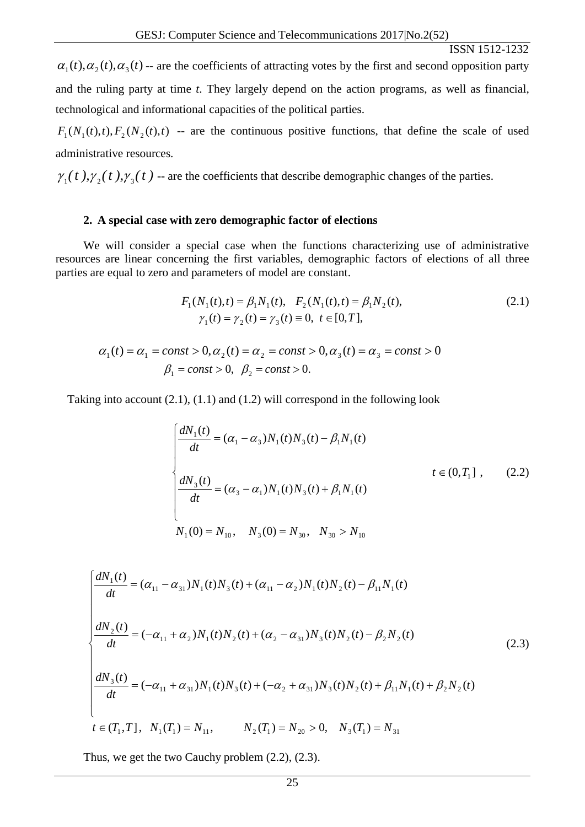$\alpha_1(t), \alpha_2(t), \alpha_3(t)$  -- are the coefficients of attracting votes by the first and second opposition party and the ruling party at time *t*. They largely depend on the action programs, as well as financial, technological and informational capacities of the political parties.

 $F_1(N_1(t), t)$ ,  $F_2(N_2(t), t)$  -- are the continuous positive functions, that define the scale of used administrative resources.

 $\gamma_1(t)$ ,  $\gamma_2(t)$ ,  $\gamma_3(t)$  -- are the coefficients that describe demographic changes of the parties.

#### **2. A special case with zero demographic factor of elections**

We will consider a special case when the functions characterizing use of administrative resources are linear concerning the first variables, demographic factors of elections of all three parties are equal to zero and parameters of model are constant.

$$
F_1(N_1(t),t) = \beta_1 N_1(t), \quad F_2(N_1(t),t) = \beta_1 N_2(t),
$$
  
\n
$$
\gamma_1(t) = \gamma_2(t) = \gamma_3(t) \equiv 0, \quad t \in [0,T],
$$
\n(2.1)

$$
\alpha_1(t) = \alpha_1 = const > 0, \alpha_2(t) = \alpha_2 = const > 0, \alpha_3(t) = \alpha_3 = const > 0
$$
  
\n $\beta_1 = const > 0, \ \beta_2 = const > 0.$ 

Taking into account (2.1), (1.1) and (1.2) will correspond in the following look

$$
\begin{cases}\n\frac{dN_1(t)}{dt} = (\alpha_1 - \alpha_3)N_1(t)N_3(t) - \beta_1 N_1(t) \\
\frac{dN_3(t)}{dt} = (\alpha_3 - \alpha_1)N_1(t)N_3(t) + \beta_1 N_1(t) \\
N_1(0) = N_{10}, \quad N_3(0) = N_{30}, \quad N_{30} > N_{10}\n\end{cases}
$$
\n(2.2)

$$
\begin{cases}\n\frac{dN_1(t)}{dt} = (\alpha_{11} - \alpha_{31})N_1(t)N_3(t) + (\alpha_{11} - \alpha_2)N_1(t)N_2(t) - \beta_{11}N_1(t) \\
\frac{dN_2(t)}{dt} = (-\alpha_{11} + \alpha_2)N_1(t)N_2(t) + (\alpha_2 - \alpha_{31})N_3(t)N_2(t) - \beta_2N_2(t) \\
\frac{dN_3(t)}{dt} = (-\alpha_{11} + \alpha_{31})N_1(t)N_3(t) + (-\alpha_2 + \alpha_{31})N_3(t)N_2(t) + \beta_{11}N_1(t) + \beta_2N_2(t) \\
t \in (T_1, T], \quad N_1(T_1) = N_{11}, \qquad N_2(T_1) = N_{20} > 0, \quad N_3(T_1) = N_{31}\n\end{cases}
$$
\n(2.3)

Thus, we get the two Cauchy problem (2.2), (2.3).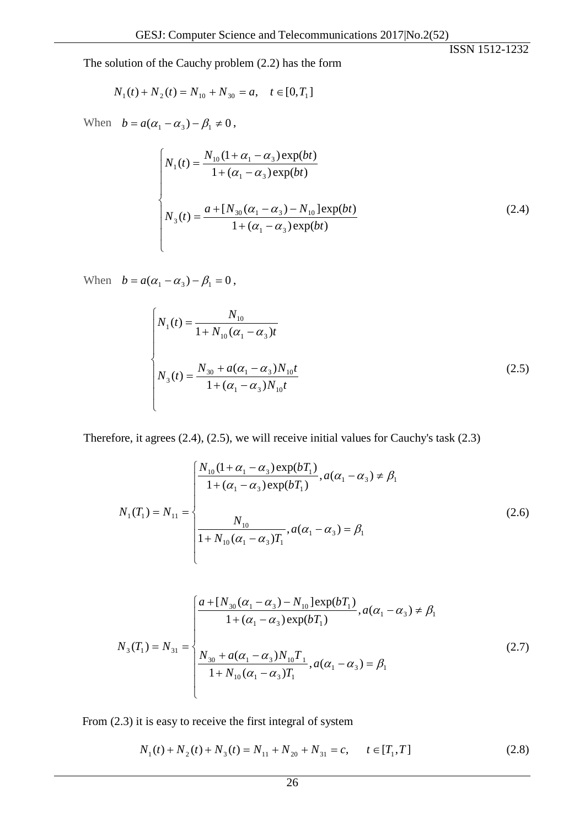The solution of the Cauchy problem (2.2) has the form

$$
N_1(t) + N_2(t) = N_{10} + N_{30} = a, \quad t \in [0, T_1]
$$

When  $b = a(\alpha_1 - \alpha_3) - \beta_1 \neq 0$ ,

$$
\begin{cases}\nN_1(t) = \frac{N_{10}(1 + \alpha_1 - \alpha_3) \exp(bt)}{1 + (\alpha_1 - \alpha_3) \exp(bt)} \\
N_3(t) = \frac{a + [N_{30}(\alpha_1 - \alpha_3) - N_{10}] \exp(bt)}{1 + (\alpha_1 - \alpha_3) \exp(bt)}\n\end{cases}
$$
\n(2.4)

When  $b = a(\alpha_1 - \alpha_3) - \beta_1 = 0$ ,

$$
\begin{cases}\nN_1(t) = \frac{N_{10}}{1 + N_{10}(\alpha_1 - \alpha_3)t} \\
N_3(t) = \frac{N_{30} + a(\alpha_1 - \alpha_3)N_{10}t}{1 + (\alpha_1 - \alpha_3)N_{10}t}\n\end{cases}
$$
\n(2.5)

Therefore, it agrees (2.4), (2.5), we will receive initial values for Cauchy's task (2.3)

$$
N_1(T_1) = N_{11} = \begin{cases} \frac{N_{10}(1 + \alpha_1 - \alpha_3) \exp(bT_1)}{1 + (\alpha_1 - \alpha_3) \exp(bT_1)}, a(\alpha_1 - \alpha_3) \neq \beta_1\\ \frac{N_{10}}{1 + N_{10}(\alpha_1 - \alpha_3)T_1}, a(\alpha_1 - \alpha_3) = \beta_1 \end{cases}
$$
(2.6)

$$
N_{3}(T_{1}) = N_{31} = \begin{cases} \frac{a + [N_{30}(\alpha_{1} - \alpha_{3}) - N_{10}] \exp(bT_{1})}{1 + (\alpha_{1} - \alpha_{3}) \exp(bT_{1})}, a(\alpha_{1} - \alpha_{3}) \neq \beta_{1} \\ \frac{N_{30} + a(\alpha_{1} - \alpha_{3})N_{10}T_{1}}{1 + N_{10}(\alpha_{1} - \alpha_{3})T_{1}}, a(\alpha_{1} - \alpha_{3}) = \beta_{1} \end{cases}
$$
(2.7)

From (2.3) it is easy to receive the first integral of system

$$
N_1(t) + N_2(t) + N_3(t) = N_{11} + N_{20} + N_{31} = c, \qquad t \in [T_1, T]
$$
\n(2.8)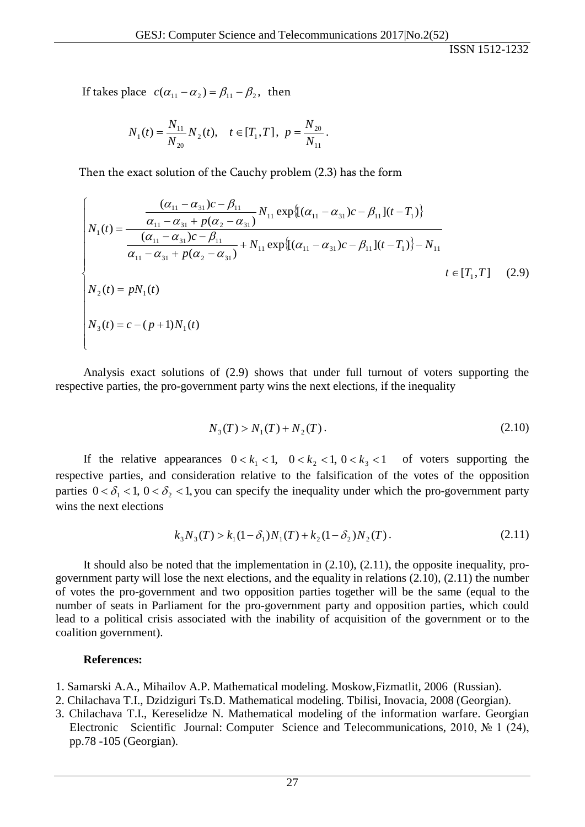If takes place  $c(\alpha_{11} - \alpha_2) = \beta_{11} - \beta_2$ , then

$$
N_1(t) = \frac{N_{11}}{N_{20}} N_2(t), \quad t \in [T_1, T], \ p = \frac{N_{20}}{N_{11}}.
$$

Then the exact solution of the Cauchy problem (2.3) has the form

$$
\begin{cases}\n\frac{(\alpha_{11} - \alpha_{31})c - \beta_{11}}{\alpha_{11} - \alpha_{31} + p(\alpha_{2} - \alpha_{31})} N_{11} \exp\{[(\alpha_{11} - \alpha_{31})c - \beta_{11}](t - T_{1})\} \\
N_{1}(t) = \frac{(\alpha_{11} - \alpha_{31})c - \beta_{11}}{(\alpha_{11} - \alpha_{31})c - \beta_{11}} + N_{11} \exp\{[(\alpha_{11} - \alpha_{31})c - \beta_{11}](t - T_{1})\} - N_{11} \\
\alpha_{11} - \alpha_{31} + p(\alpha_{2} - \alpha_{31}) + N_{11} \exp\{[(\alpha_{11} - \alpha_{31})c - \beta_{11}](t - T_{1})\} - N_{11} \\
N_{2}(t) = pN_{1}(t) \\
N_{3}(t) = c - (p + 1)N_{1}(t)\n\end{cases}
$$
\n(2.9)

Analysis exact solutions of (2.9) shows that under full turnout of voters supporting the respective parties, the pro-government party wins the next elections, if the inequality

$$
N_3(T) > N_1(T) + N_2(T). \tag{2.10}
$$

If the relative appearances  $0 < k_1 < 1$ ,  $0 < k_2 < 1$ ,  $0 < k_3 < 1$  of voters supporting the respective parties, and consideration relative to the falsification of the votes of the opposition parties  $0 < \delta_1 < 1$ ,  $0 < \delta_2 < 1$ , you can specify the inequality under which the pro-government party wins the next elections

$$
k_3 N_3(T) > k_1 (1 - \delta_1) N_1(T) + k_2 (1 - \delta_2) N_2(T).
$$
 (2.11)

It should also be noted that the implementation in  $(2.10)$ ,  $(2.11)$ , the opposite inequality, progovernment party will lose the next elections, and the equality in relations (2.10), (2.11) the number of votes the pro-government and two opposition parties together will be the same (equal to the number of seats in Parliament for the pro-government party and opposition parties, which could lead to a political crisis associated with the inability of acquisition of the government or to the coalition government).

#### **References:**

- 1. Samarski A.A., Mihailov A.P. Mathematical modeling. Moskow,Fizmatlit, 2006 (Russian).
- 2. Chilachava T.I., Dzidziguri Ts.D. Mathematical modeling. Tbilisi, Inovacia, 2008 (Georgian).
- 3. Chilachava T.I., Kereselidze N. Mathematical modeling of the information warfare. Georgian Electronic Scientific Journal: Computer Science and Telecommunications, 2010, № 1 (24), pp.78 -105 (Georgian).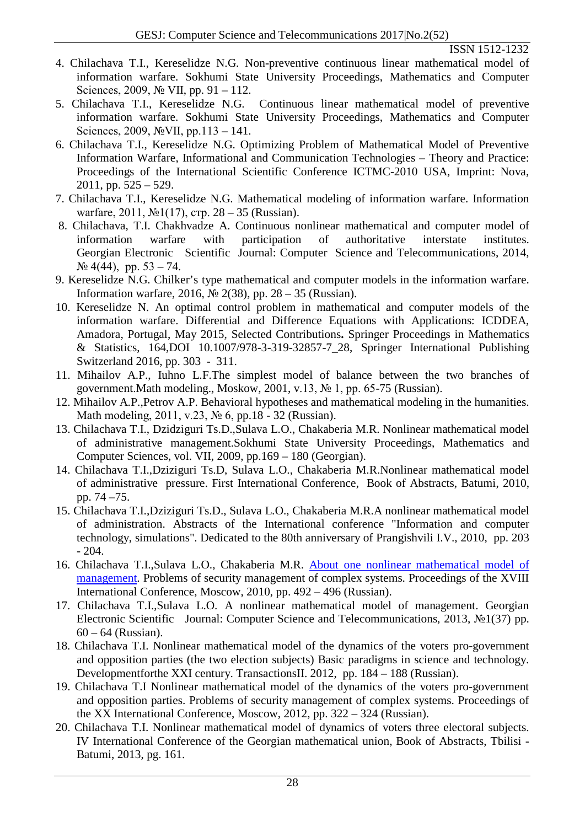- 4. Chilachava T.I., Kereselidze N.G. Non-preventive continuous linear mathematical model of information warfare. Sokhumi State University Proceedings, Mathematics and Computer Sciences, 2009, № VII, pp. 91 – 112.
- 5. Chilachava T.I., Kereselidze N.G. Continuous linear mathematical model of preventive information warfare. Sokhumi State University Proceedings, Mathematics and Computer Sciences, 2009, №VII, pp.113 – 141.
- 6. Chilachava T.I., Kereselidze N.G. Optimizing Problem of Mathematical Model of Preventive Information Warfare, Informational and Communication Technologies – Theory and Practice: Proceedings of the International Scientific Conference ICTMC-2010 USA, Imprint: Nova,  $2011$ , pp.  $525 - 529$ .
- 7. Chilachava T.I., Kereselidze N.G. Mathematical modeling of information warfare. Information warfare, 2011, №1(17), стр. 28 – 35 (Russian).
- 8. Chilachava, T.I. Chakhvadze A. Continuous nonlinear mathematical and computer model of information warfare with participation of authoritative interstate institutes. Georgian Electronic Scientific Journal: Computer Science and Telecommunications, 2014,  $\mathcal{N}$ <sup>o</sup> 4(44), pp. 53 – 74.
- 9. Kereselidze N.G. Chilker's type mathematical and computer models in the information warfare. Information warfare, 2016, № 2(38), pp. 28 – 35 (Russian).
- 10. Kereselidze N. An optimal control problem in mathematical and computer models of the information warfare. Differential and Difference Equations with Applications: ICDDEA, Amadora, Portugal, May 2015, Selected Contributions**.** Springer Proceedings in Mathematics & Statistics, 164,DOI 10.1007/978-3-319-32857-7\_28, Springer International Publishing Switzerland 2016, pp. 303 - 311.
- 11. Mihailov A.P., Iuhno L.F.The simplest model of balance between the two branches of government.Math modeling., Moskow, 2001, v.13, № 1, pp. 65-75 (Russian).
- 12. Mihailov A.P.,Petrov A.P. Behavioral hypotheses and mathematical modeling in the humanities. Math modeling, 2011, v.23, № 6, pp.18 - 32 (Russian).
- 13. Chilachava T.I., Dzidziguri Ts.D.,Sulava L.O., Chakaberia M.R. Nonlinear mathematical model of administrative management.Sokhumi State University Proceedings, Mathematics and Computer Sciences, vol. VII, 2009, pp.169 – 180 (Georgian).
- 14. Chilachava T.I.,Dziziguri Ts.D, Sulava L.O., Chakaberia M.R.Nonlinear mathematical model of administrative pressure. First International Conference, Book of Abstracts, Batumi, 2010, pp. 74 –75.
- 15. Chilachava T.I.,Dziziguri Ts.D., Sulava L.O., Chakaberia M.R.A nonlinear mathematical model of administration. Abstracts of the International conference "Information and computer technology, simulations". Dedicated to the 80th anniversary of Prangishvili I.V., 2010, pp. 203 - 204.
- 16. Chilachava T.I.,Sulava L.O., Chakaberia M.R. [About one nonlinear mathematical model of](http://scholar.google.com/scholar?cluster=4399520164326842245&hl=en&oi=scholarr)  [management.](http://scholar.google.com/scholar?cluster=4399520164326842245&hl=en&oi=scholarr) Problems of security management of complex systems. Proceedings of the XVIII International Conference, Moscow, 2010, pp. 492 – 496 (Russian).
- 17. Chilachava T.I.,Sulava L.O. A nonlinear mathematical model of management. Georgian Electronic Scientific Journal: Computer Science and Telecommunications, 2013, №1(37) pp.  $60 - 64$  (Russian).
- 18. Chilachava T.I. Nonlinear mathematical model of the dynamics of the voters pro-government and opposition parties (the two election subjects) Basic paradigms in science and technology. Developmentforthe XXI century. TransactionsII. 2012, pp. 184 – 188 (Russian).
- 19. Chilachava T.I Nonlinear mathematical model of the dynamics of the voters pro-government and opposition parties. Problems of security management of complex systems. Proceedings of the XX International Conference, Moscow, 2012, pp. 322 – 324 (Russian).
- 20. Chilachava T.I. Nonlinear mathematical model of dynamics of voters three electoral subjects. IV International Conference of the Georgian mathematical union, Book of Abstracts, Tbilisi - Batumi, 2013, pg. 161.